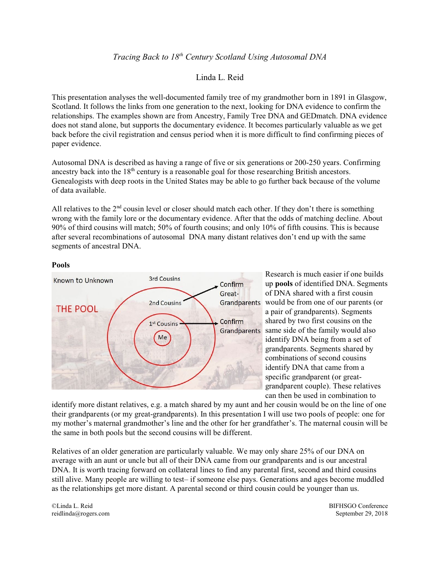# *Tracing Back to 18th Century Scotland Using Autosomal DNA*

# Linda L. Reid

This presentation analyses the well-documented family tree of my grandmother born in 1891 in Glasgow, Scotland. It follows the links from one generation to the next, looking for DNA evidence to confirm the relationships. The examples shown are from Ancestry, Family Tree DNA and GEDmatch. DNA evidence does not stand alone, but supports the documentary evidence. It becomes particularly valuable as we get back before the civil registration and census period when it is more difficult to find confirming pieces of paper evidence.

Autosomal DNA is described as having a range of five or six generations or 200-250 years. Confirming ancestry back into the 18<sup>th</sup> century is a reasonable goal for those researching British ancestors. Genealogists with deep roots in the United States may be able to go further back because of the volume of data available.

All relatives to the  $2<sup>nd</sup>$  cousin level or closer should match each other. If they don't there is something wrong with the family lore or the documentary evidence. After that the odds of matching decline. About 90% of third cousins will match; 50% of fourth cousins; and only 10% of fifth cousins. This is because after several recombinations of autosomal DNA many distant relatives don't end up with the same segments of ancestral DNA.

## **Pools**



Research is much easier if one builds up **pools** of identified DNA. Segments of DNA shared with a first cousin Grandparents would be from one of our parents (or a pair of grandparents). Segments shared by two first cousins on the Grandparents same side of the family would also identify DNA being from a set of grandparents. Segments shared by combinations of second cousins identify DNA that came from a specific grandparent (or greatgrandparent couple). These relatives can then be used in combination to

identify more distant relatives, e.g. a match shared by my aunt and her cousin would be on the line of one their grandparents (or my great-grandparents). In this presentation I will use two pools of people: one for my mother's maternal grandmother's line and the other for her grandfather's. The maternal cousin will be the same in both pools but the second cousins will be different.

Relatives of an older generation are particularly valuable. We may only share 25% of our DNA on average with an aunt or uncle but all of their DNA came from our grandparents and is our ancestral DNA. It is worth tracing forward on collateral lines to find any parental first, second and third cousins still alive. Many people are willing to test– if someone else pays. Generations and ages become muddled as the relationships get more distant. A parental second or third cousin could be younger than us.

©Linda L. Reid reidlinda@rogers.com BIFHSGO Conference September 29, 2018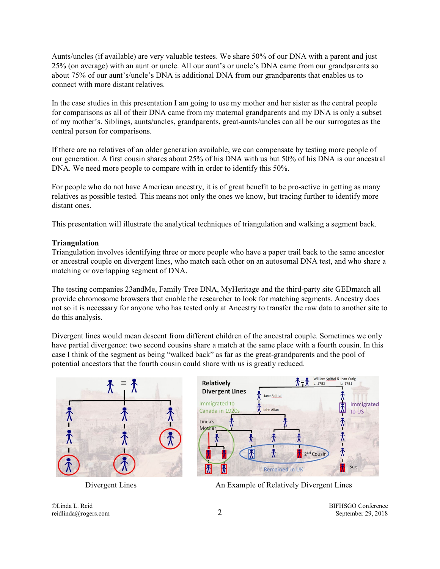Aunts/uncles (if available) are very valuable testees. We share 50% of our DNA with a parent and just 25% (on average) with an aunt or uncle. All our aunt's or uncle's DNA came from our grandparents so about 75% of our aunt's/uncle's DNA is additional DNA from our grandparents that enables us to connect with more distant relatives.

In the case studies in this presentation I am going to use my mother and her sister as the central people for comparisons as all of their DNA came from my maternal grandparents and my DNA is only a subset of my mother's. Siblings, aunts/uncles, grandparents, great-aunts/uncles can all be our surrogates as the central person for comparisons.

If there are no relatives of an older generation available, we can compensate by testing more people of our generation. A first cousin shares about 25% of his DNA with us but 50% of his DNA is our ancestral DNA. We need more people to compare with in order to identify this 50%.

For people who do not have American ancestry, it is of great benefit to be pro-active in getting as many relatives as possible tested. This means not only the ones we know, but tracing further to identify more distant ones.

This presentation will illustrate the analytical techniques of triangulation and walking a segment back.

#### **Triangulation**

Triangulation involves identifying three or more people who have a paper trail back to the same ancestor or ancestral couple on divergent lines, who match each other on an autosomal DNA test, and who share a matching or overlapping segment of DNA.

The testing companies 23andMe, Family Tree DNA, MyHeritage and the third-party site GEDmatch all provide chromosome browsers that enable the researcher to look for matching segments. Ancestry does not so it is necessary for anyone who has tested only at Ancestry to transfer the raw data to another site to do this analysis.

Divergent lines would mean descent from different children of the ancestral couple. Sometimes we only have partial divergence: two second cousins share a match at the same place with a fourth cousin. In this case I think of the segment as being "walked back" as far as the great-grandparents and the pool of potential ancestors that the fourth cousin could share with us is greatly reduced.





Divergent Lines An Example of Relatively Divergent Lines

©Linda L. Reid reidlinda@rogers.com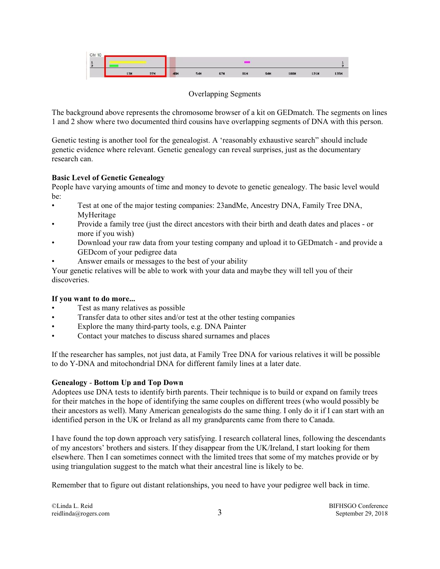

Overlapping Segments

The background above represents the chromosome browser of a kit on GEDmatch. The segments on lines 1 and 2 show where two documented third cousins have overlapping segments of DNA with this person.

Genetic testing is another tool for the genealogist. A 'reasonably exhaustive search" should include genetic evidence where relevant. Genetic genealogy can reveal surprises, just as the documentary research can.

## **Basic Level of Genetic Genealogy**

People have varying amounts of time and money to devote to genetic genealogy. The basic level would be:

- Test at one of the major testing companies: 23andMe, Ancestry DNA, Family Tree DNA, MyHeritage
- Provide a family tree (just the direct ancestors with their birth and death dates and places or more if you wish)
- Download your raw data from your testing company and upload it to GEDmatch and provide a GEDcom of your pedigree data
- Answer emails or messages to the best of your ability

Your genetic relatives will be able to work with your data and maybe they will tell you of their discoveries.

## **If you want to do more...**

- Test as many relatives as possible
- Transfer data to other sites and/or test at the other testing companies
- Explore the many third-party tools, e.g. DNA Painter
- Contact your matches to discuss shared surnames and places

If the researcher has samples, not just data, at Family Tree DNA for various relatives it will be possible to do Y-DNA and mitochondrial DNA for different family lines at a later date.

## **Genealogy** - **Bottom Up and Top Down**

Adoptees use DNA tests to identify birth parents. Their technique is to build or expand on family trees for their matches in the hope of identifying the same couples on different trees (who would possibly be their ancestors as well). Many American genealogists do the same thing. I only do it if I can start with an identified person in the UK or Ireland as all my grandparents came from there to Canada.

I have found the top down approach very satisfying. I research collateral lines, following the descendants of my ancestors' brothers and sisters. If they disappear from the UK/Ireland, I start looking for them elsewhere. Then I can sometimes connect with the limited trees that some of my matches provide or by using triangulation suggest to the match what their ancestral line is likely to be.

Remember that to figure out distant relationships, you need to have your pedigree well back in time.

©Linda L. Reid reidlinda@rogers.com